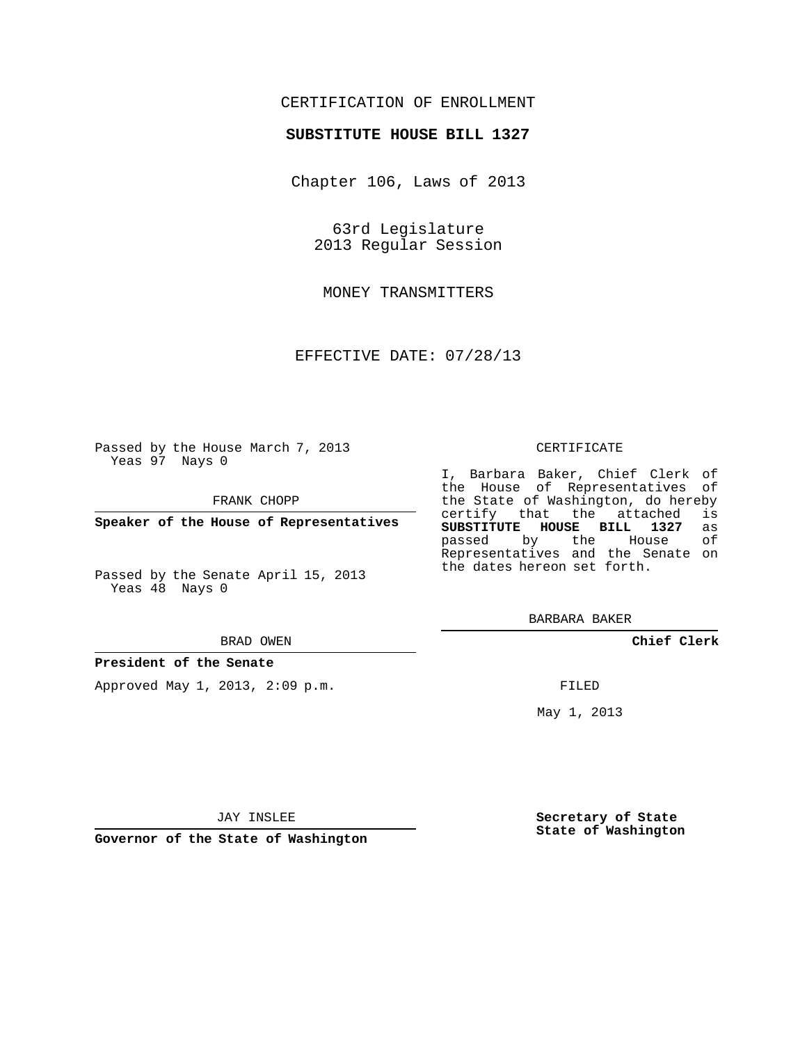## CERTIFICATION OF ENROLLMENT

### **SUBSTITUTE HOUSE BILL 1327**

Chapter 106, Laws of 2013

63rd Legislature 2013 Regular Session

MONEY TRANSMITTERS

EFFECTIVE DATE: 07/28/13

Passed by the House March 7, 2013 Yeas 97 Nays 0

FRANK CHOPP

**Speaker of the House of Representatives**

Passed by the Senate April 15, 2013 Yeas 48 Nays 0

#### BRAD OWEN

#### **President of the Senate**

Approved May 1, 2013, 2:09 p.m.

#### CERTIFICATE

I, Barbara Baker, Chief Clerk of the House of Representatives of the State of Washington, do hereby<br>certify that the attached is certify that the attached **SUBSTITUTE HOUSE BILL 1327** as passed by the Representatives and the Senate on the dates hereon set forth.

BARBARA BAKER

**Chief Clerk**

FILED

May 1, 2013

**Secretary of State State of Washington**

JAY INSLEE

**Governor of the State of Washington**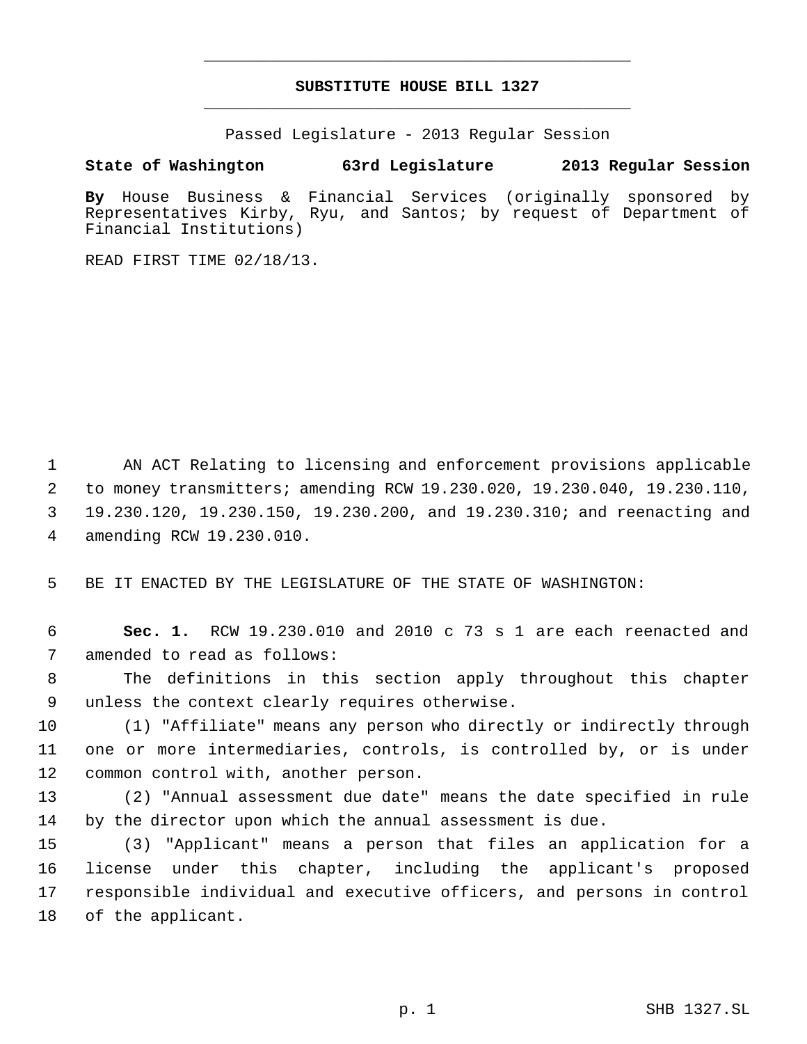# **SUBSTITUTE HOUSE BILL 1327** \_\_\_\_\_\_\_\_\_\_\_\_\_\_\_\_\_\_\_\_\_\_\_\_\_\_\_\_\_\_\_\_\_\_\_\_\_\_\_\_\_\_\_\_\_

\_\_\_\_\_\_\_\_\_\_\_\_\_\_\_\_\_\_\_\_\_\_\_\_\_\_\_\_\_\_\_\_\_\_\_\_\_\_\_\_\_\_\_\_\_

Passed Legislature - 2013 Regular Session

**State of Washington 63rd Legislature 2013 Regular Session**

**By** House Business & Financial Services (originally sponsored by Representatives Kirby, Ryu, and Santos; by request of Department of Financial Institutions)

READ FIRST TIME 02/18/13.

 AN ACT Relating to licensing and enforcement provisions applicable to money transmitters; amending RCW 19.230.020, 19.230.040, 19.230.110, 19.230.120, 19.230.150, 19.230.200, and 19.230.310; and reenacting and amending RCW 19.230.010.

BE IT ENACTED BY THE LEGISLATURE OF THE STATE OF WASHINGTON:

 **Sec. 1.** RCW 19.230.010 and 2010 c 73 s 1 are each reenacted and amended to read as follows:

 The definitions in this section apply throughout this chapter unless the context clearly requires otherwise.

 (1) "Affiliate" means any person who directly or indirectly through one or more intermediaries, controls, is controlled by, or is under common control with, another person.

 (2) "Annual assessment due date" means the date specified in rule by the director upon which the annual assessment is due.

 (3) "Applicant" means a person that files an application for a license under this chapter, including the applicant's proposed responsible individual and executive officers, and persons in control of the applicant.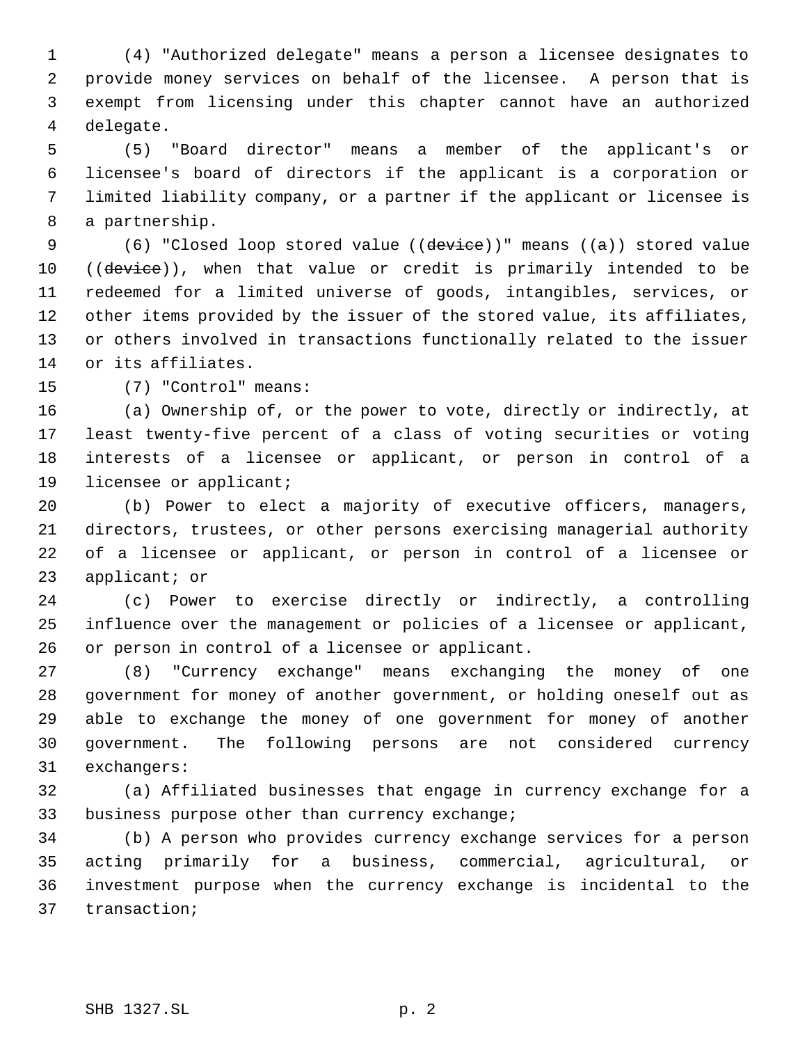(4) "Authorized delegate" means a person a licensee designates to provide money services on behalf of the licensee. A person that is exempt from licensing under this chapter cannot have an authorized delegate.

 (5) "Board director" means a member of the applicant's or licensee's board of directors if the applicant is a corporation or limited liability company, or a partner if the applicant or licensee is a partnership.

9 (6) "Closed loop stored value ((device))" means ((a)) stored value 10 ((device)), when that value or credit is primarily intended to be redeemed for a limited universe of goods, intangibles, services, or other items provided by the issuer of the stored value, its affiliates, or others involved in transactions functionally related to the issuer or its affiliates.

(7) "Control" means:

 (a) Ownership of, or the power to vote, directly or indirectly, at least twenty-five percent of a class of voting securities or voting interests of a licensee or applicant, or person in control of a licensee or applicant;

 (b) Power to elect a majority of executive officers, managers, directors, trustees, or other persons exercising managerial authority of a licensee or applicant, or person in control of a licensee or applicant; or

 (c) Power to exercise directly or indirectly, a controlling influence over the management or policies of a licensee or applicant, or person in control of a licensee or applicant.

 (8) "Currency exchange" means exchanging the money of one government for money of another government, or holding oneself out as able to exchange the money of one government for money of another government. The following persons are not considered currency exchangers:

 (a) Affiliated businesses that engage in currency exchange for a business purpose other than currency exchange;

 (b) A person who provides currency exchange services for a person acting primarily for a business, commercial, agricultural, or investment purpose when the currency exchange is incidental to the transaction;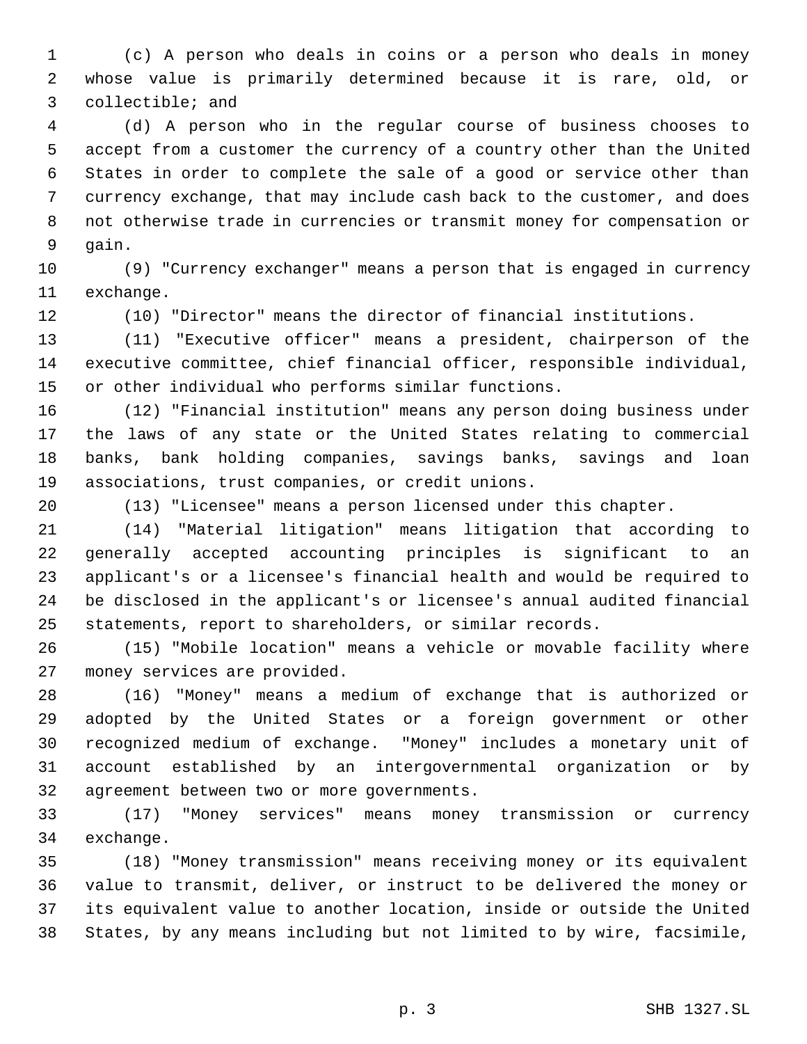(c) A person who deals in coins or a person who deals in money whose value is primarily determined because it is rare, old, or collectible; and

 (d) A person who in the regular course of business chooses to accept from a customer the currency of a country other than the United States in order to complete the sale of a good or service other than currency exchange, that may include cash back to the customer, and does not otherwise trade in currencies or transmit money for compensation or gain.

 (9) "Currency exchanger" means a person that is engaged in currency exchange.

(10) "Director" means the director of financial institutions.

 (11) "Executive officer" means a president, chairperson of the executive committee, chief financial officer, responsible individual, or other individual who performs similar functions.

 (12) "Financial institution" means any person doing business under the laws of any state or the United States relating to commercial banks, bank holding companies, savings banks, savings and loan associations, trust companies, or credit unions.

(13) "Licensee" means a person licensed under this chapter.

 (14) "Material litigation" means litigation that according to generally accepted accounting principles is significant to an applicant's or a licensee's financial health and would be required to be disclosed in the applicant's or licensee's annual audited financial statements, report to shareholders, or similar records.

 (15) "Mobile location" means a vehicle or movable facility where money services are provided.

 (16) "Money" means a medium of exchange that is authorized or adopted by the United States or a foreign government or other recognized medium of exchange. "Money" includes a monetary unit of account established by an intergovernmental organization or by agreement between two or more governments.

 (17) "Money services" means money transmission or currency exchange.

 (18) "Money transmission" means receiving money or its equivalent value to transmit, deliver, or instruct to be delivered the money or its equivalent value to another location, inside or outside the United States, by any means including but not limited to by wire, facsimile,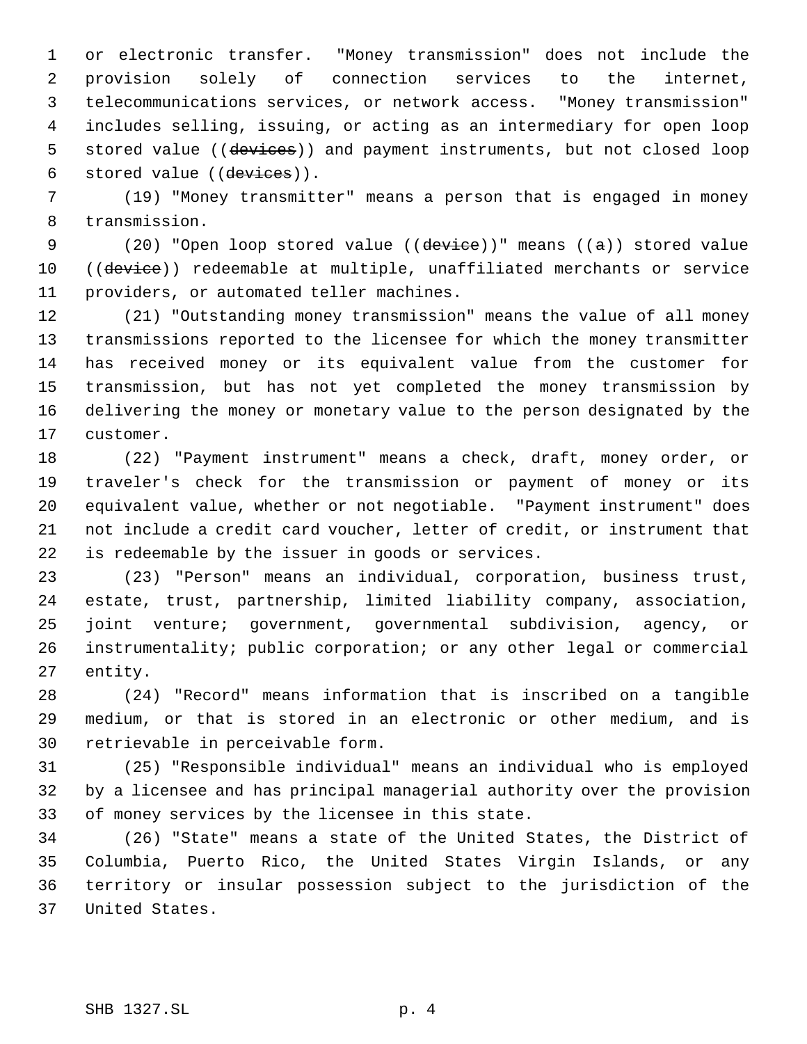or electronic transfer. "Money transmission" does not include the provision solely of connection services to the internet, telecommunications services, or network access. "Money transmission" includes selling, issuing, or acting as an intermediary for open loop 5 stored value ((devices)) and payment instruments, but not closed loop 6 stored value ((devices)).

 (19) "Money transmitter" means a person that is engaged in money transmission.

9 (20) "Open loop stored value ((device))" means ((a)) stored value 10 ((device)) redeemable at multiple, unaffiliated merchants or service providers, or automated teller machines.

 (21) "Outstanding money transmission" means the value of all money transmissions reported to the licensee for which the money transmitter has received money or its equivalent value from the customer for transmission, but has not yet completed the money transmission by delivering the money or monetary value to the person designated by the customer.

 (22) "Payment instrument" means a check, draft, money order, or traveler's check for the transmission or payment of money or its equivalent value, whether or not negotiable. "Payment instrument" does not include a credit card voucher, letter of credit, or instrument that is redeemable by the issuer in goods or services.

 (23) "Person" means an individual, corporation, business trust, estate, trust, partnership, limited liability company, association, joint venture; government, governmental subdivision, agency, or instrumentality; public corporation; or any other legal or commercial entity.

 (24) "Record" means information that is inscribed on a tangible medium, or that is stored in an electronic or other medium, and is retrievable in perceivable form.

 (25) "Responsible individual" means an individual who is employed by a licensee and has principal managerial authority over the provision of money services by the licensee in this state.

 (26) "State" means a state of the United States, the District of Columbia, Puerto Rico, the United States Virgin Islands, or any territory or insular possession subject to the jurisdiction of the United States.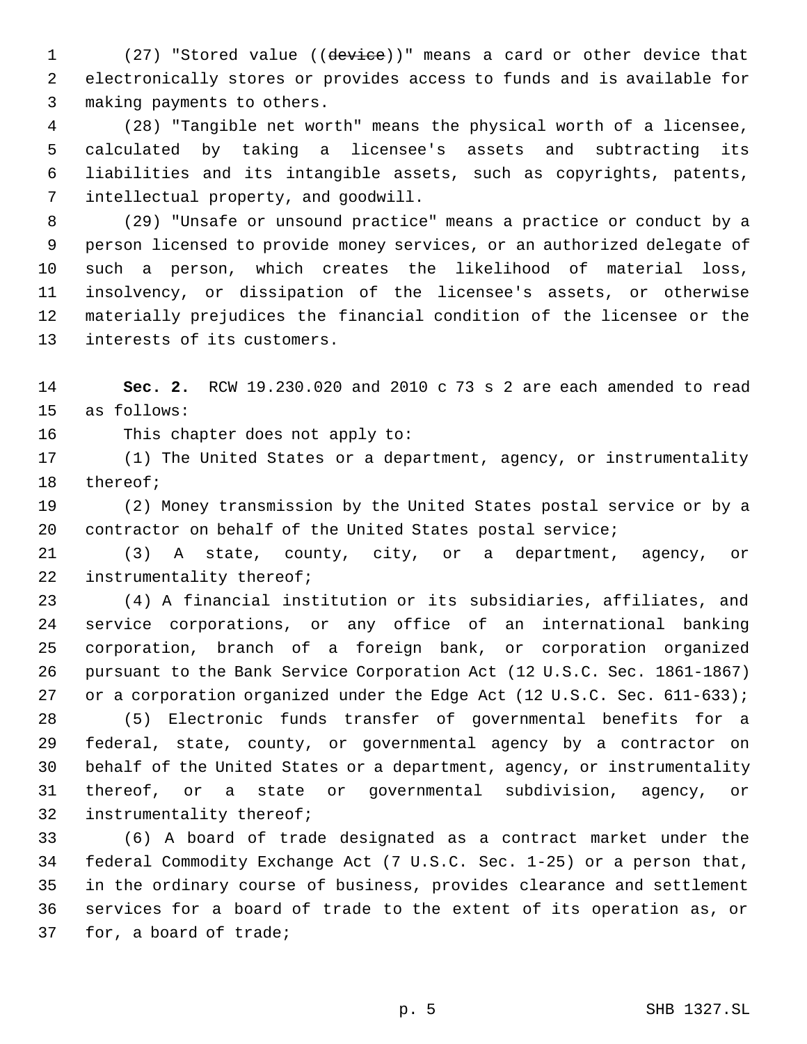1 (27) "Stored value ((device))" means a card or other device that electronically stores or provides access to funds and is available for making payments to others.

 (28) "Tangible net worth" means the physical worth of a licensee, calculated by taking a licensee's assets and subtracting its liabilities and its intangible assets, such as copyrights, patents, intellectual property, and goodwill.

 (29) "Unsafe or unsound practice" means a practice or conduct by a person licensed to provide money services, or an authorized delegate of such a person, which creates the likelihood of material loss, insolvency, or dissipation of the licensee's assets, or otherwise materially prejudices the financial condition of the licensee or the interests of its customers.

 **Sec. 2.** RCW 19.230.020 and 2010 c 73 s 2 are each amended to read as follows:

This chapter does not apply to:

 (1) The United States or a department, agency, or instrumentality thereof;

 (2) Money transmission by the United States postal service or by a contractor on behalf of the United States postal service;

 (3) A state, county, city, or a department, agency, or 22 instrumentality thereof;

 (4) A financial institution or its subsidiaries, affiliates, and service corporations, or any office of an international banking corporation, branch of a foreign bank, or corporation organized pursuant to the Bank Service Corporation Act (12 U.S.C. Sec. 1861-1867) 27 or a corporation organized under the Edge Act (12 U.S.C. Sec. 611-633);

 (5) Electronic funds transfer of governmental benefits for a federal, state, county, or governmental agency by a contractor on behalf of the United States or a department, agency, or instrumentality thereof, or a state or governmental subdivision, agency, or instrumentality thereof;

 (6) A board of trade designated as a contract market under the federal Commodity Exchange Act (7 U.S.C. Sec. 1-25) or a person that, in the ordinary course of business, provides clearance and settlement services for a board of trade to the extent of its operation as, or for, a board of trade;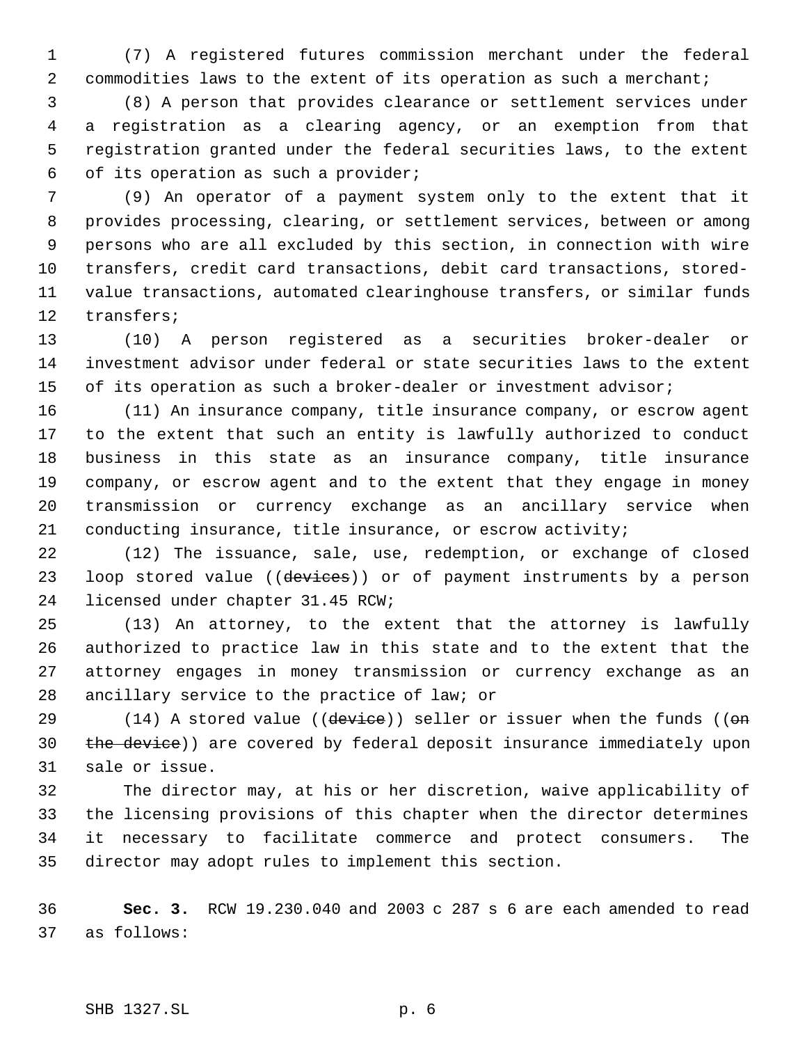(7) A registered futures commission merchant under the federal 2 commodities laws to the extent of its operation as such a merchant;

 (8) A person that provides clearance or settlement services under a registration as a clearing agency, or an exemption from that registration granted under the federal securities laws, to the extent of its operation as such a provider;

 (9) An operator of a payment system only to the extent that it provides processing, clearing, or settlement services, between or among persons who are all excluded by this section, in connection with wire transfers, credit card transactions, debit card transactions, stored- value transactions, automated clearinghouse transfers, or similar funds transfers;

 (10) A person registered as a securities broker-dealer or investment advisor under federal or state securities laws to the extent of its operation as such a broker-dealer or investment advisor;

 (11) An insurance company, title insurance company, or escrow agent to the extent that such an entity is lawfully authorized to conduct business in this state as an insurance company, title insurance company, or escrow agent and to the extent that they engage in money transmission or currency exchange as an ancillary service when conducting insurance, title insurance, or escrow activity;

 (12) The issuance, sale, use, redemption, or exchange of closed 23 loop stored value ((devices)) or of payment instruments by a person licensed under chapter 31.45 RCW;

 (13) An attorney, to the extent that the attorney is lawfully authorized to practice law in this state and to the extent that the attorney engages in money transmission or currency exchange as an ancillary service to the practice of law; or

29 (14) A stored value ((device)) seller or issuer when the funds ((on 30 the device)) are covered by federal deposit insurance immediately upon sale or issue.

 The director may, at his or her discretion, waive applicability of the licensing provisions of this chapter when the director determines it necessary to facilitate commerce and protect consumers. The director may adopt rules to implement this section.

 **Sec. 3.** RCW 19.230.040 and 2003 c 287 s 6 are each amended to read as follows: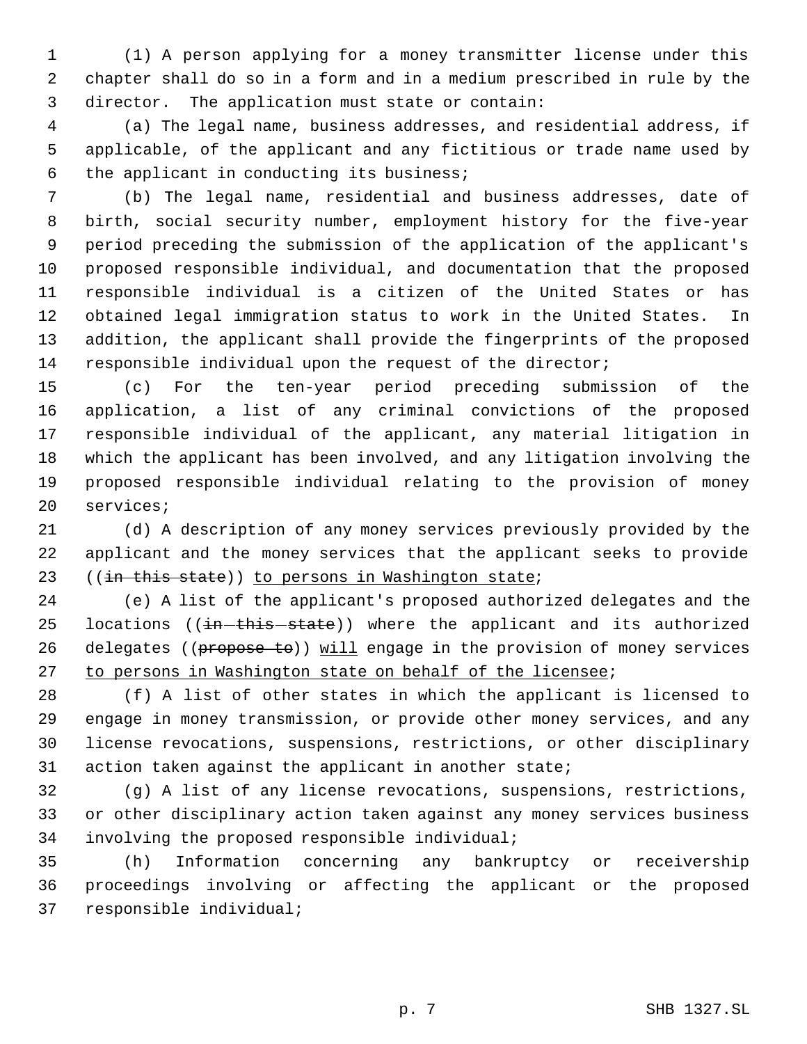(1) A person applying for a money transmitter license under this chapter shall do so in a form and in a medium prescribed in rule by the director. The application must state or contain:

 (a) The legal name, business addresses, and residential address, if applicable, of the applicant and any fictitious or trade name used by the applicant in conducting its business;

 (b) The legal name, residential and business addresses, date of birth, social security number, employment history for the five-year period preceding the submission of the application of the applicant's proposed responsible individual, and documentation that the proposed responsible individual is a citizen of the United States or has obtained legal immigration status to work in the United States. In addition, the applicant shall provide the fingerprints of the proposed responsible individual upon the request of the director;

 (c) For the ten-year period preceding submission of the application, a list of any criminal convictions of the proposed responsible individual of the applicant, any material litigation in which the applicant has been involved, and any litigation involving the proposed responsible individual relating to the provision of money services;

 (d) A description of any money services previously provided by the applicant and the money services that the applicant seeks to provide 23 ((in this state)) to persons in Washington state;

 (e) A list of the applicant's proposed authorized delegates and the 25 locations ( $(in-this - state)$ ) where the applicant and its authorized 26 delegates ((propose to)) will engage in the provision of money services to persons in Washington state on behalf of the licensee;

 (f) A list of other states in which the applicant is licensed to engage in money transmission, or provide other money services, and any license revocations, suspensions, restrictions, or other disciplinary action taken against the applicant in another state;

 (g) A list of any license revocations, suspensions, restrictions, or other disciplinary action taken against any money services business involving the proposed responsible individual;

 (h) Information concerning any bankruptcy or receivership proceedings involving or affecting the applicant or the proposed responsible individual;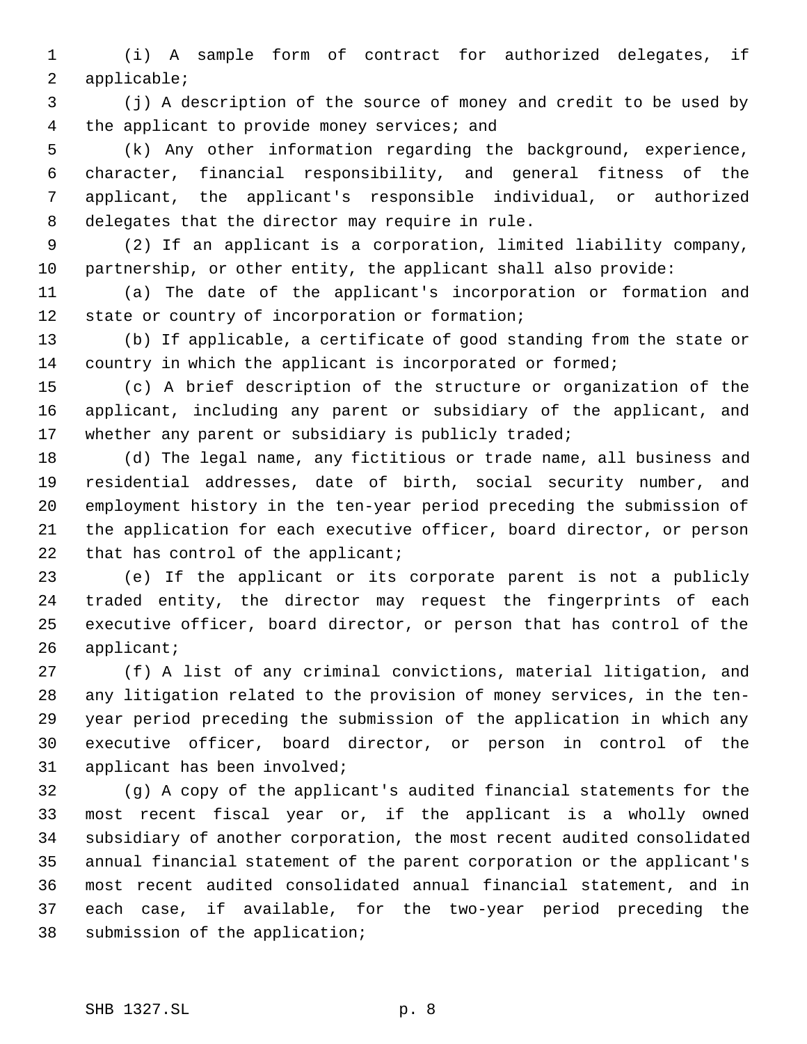(i) A sample form of contract for authorized delegates, if applicable;

 (j) A description of the source of money and credit to be used by 4 the applicant to provide money services; and

 (k) Any other information regarding the background, experience, character, financial responsibility, and general fitness of the applicant, the applicant's responsible individual, or authorized delegates that the director may require in rule.

 (2) If an applicant is a corporation, limited liability company, partnership, or other entity, the applicant shall also provide:

 (a) The date of the applicant's incorporation or formation and 12 state or country of incorporation or formation;

 (b) If applicable, a certificate of good standing from the state or 14 country in which the applicant is incorporated or formed;

 (c) A brief description of the structure or organization of the applicant, including any parent or subsidiary of the applicant, and 17 whether any parent or subsidiary is publicly traded;

 (d) The legal name, any fictitious or trade name, all business and residential addresses, date of birth, social security number, and employment history in the ten-year period preceding the submission of the application for each executive officer, board director, or person 22 that has control of the applicant;

 (e) If the applicant or its corporate parent is not a publicly traded entity, the director may request the fingerprints of each executive officer, board director, or person that has control of the applicant;

 (f) A list of any criminal convictions, material litigation, and any litigation related to the provision of money services, in the ten- year period preceding the submission of the application in which any executive officer, board director, or person in control of the applicant has been involved;

 (g) A copy of the applicant's audited financial statements for the most recent fiscal year or, if the applicant is a wholly owned subsidiary of another corporation, the most recent audited consolidated annual financial statement of the parent corporation or the applicant's most recent audited consolidated annual financial statement, and in each case, if available, for the two-year period preceding the submission of the application;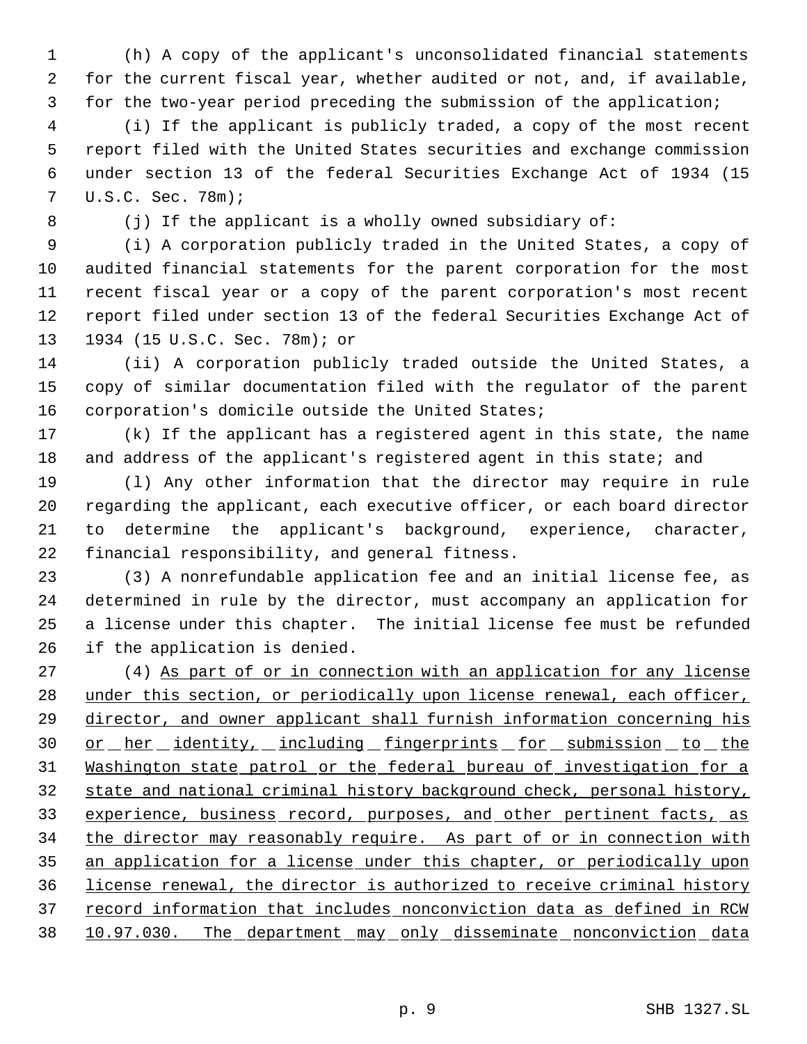(h) A copy of the applicant's unconsolidated financial statements for the current fiscal year, whether audited or not, and, if available, for the two-year period preceding the submission of the application;

 (i) If the applicant is publicly traded, a copy of the most recent report filed with the United States securities and exchange commission under section 13 of the federal Securities Exchange Act of 1934 (15 U.S.C. Sec. 78m);

(j) If the applicant is a wholly owned subsidiary of:

 (i) A corporation publicly traded in the United States, a copy of audited financial statements for the parent corporation for the most recent fiscal year or a copy of the parent corporation's most recent report filed under section 13 of the federal Securities Exchange Act of 1934 (15 U.S.C. Sec. 78m); or

 (ii) A corporation publicly traded outside the United States, a copy of similar documentation filed with the regulator of the parent corporation's domicile outside the United States;

 (k) If the applicant has a registered agent in this state, the name 18 and address of the applicant's registered agent in this state; and

 (l) Any other information that the director may require in rule regarding the applicant, each executive officer, or each board director to determine the applicant's background, experience, character, financial responsibility, and general fitness.

 (3) A nonrefundable application fee and an initial license fee, as determined in rule by the director, must accompany an application for a license under this chapter. The initial license fee must be refunded if the application is denied.

 (4) As part of or in connection with an application for any license 28 under this section, or periodically upon license renewal, each officer, director, and owner applicant shall furnish information concerning his 30 or her identity, including fingerprints for submission to the Washington state patrol or the federal bureau of investigation for a state and national criminal history background check, personal history, 33 experience, business record, purposes, and other pertinent facts, as 34 the director may reasonably require. As part of or in connection with an application for a license under this chapter, or periodically upon license renewal, the director is authorized to receive criminal history 37 record information that includes nonconviction data as defined in RCW 10.97.030. The department may only disseminate nonconviction data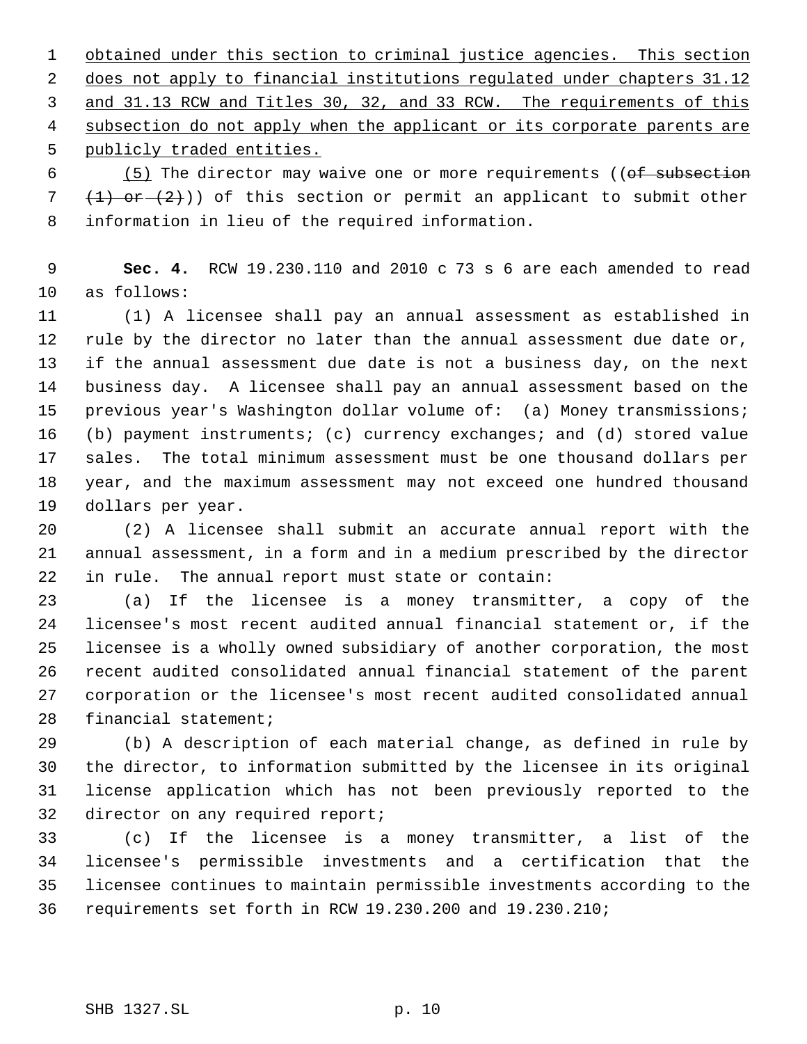1 obtained under this section to criminal justice agencies. This section 2 does not apply to financial institutions regulated under chapters 31.12 3 and 31.13 RCW and Titles 30, 32, and 33 RCW. The requirements of this 4 subsection do not apply when the applicant or its corporate parents are 5 publicly traded entities.

 (5) The director may waive one or more requirements (( $\theta$ f subsection 7  $(1)$  or  $(2)$ )) of this section or permit an applicant to submit other information in lieu of the required information.

 **Sec. 4.** RCW 19.230.110 and 2010 c 73 s 6 are each amended to read as follows:

 (1) A licensee shall pay an annual assessment as established in rule by the director no later than the annual assessment due date or, if the annual assessment due date is not a business day, on the next business day. A licensee shall pay an annual assessment based on the 15 previous year's Washington dollar volume of: (a) Money transmissions; (b) payment instruments; (c) currency exchanges; and (d) stored value sales. The total minimum assessment must be one thousand dollars per year, and the maximum assessment may not exceed one hundred thousand dollars per year.

 (2) A licensee shall submit an accurate annual report with the annual assessment, in a form and in a medium prescribed by the director in rule. The annual report must state or contain:

 (a) If the licensee is a money transmitter, a copy of the licensee's most recent audited annual financial statement or, if the licensee is a wholly owned subsidiary of another corporation, the most recent audited consolidated annual financial statement of the parent corporation or the licensee's most recent audited consolidated annual financial statement;

 (b) A description of each material change, as defined in rule by the director, to information submitted by the licensee in its original license application which has not been previously reported to the director on any required report;

 (c) If the licensee is a money transmitter, a list of the licensee's permissible investments and a certification that the licensee continues to maintain permissible investments according to the requirements set forth in RCW 19.230.200 and 19.230.210;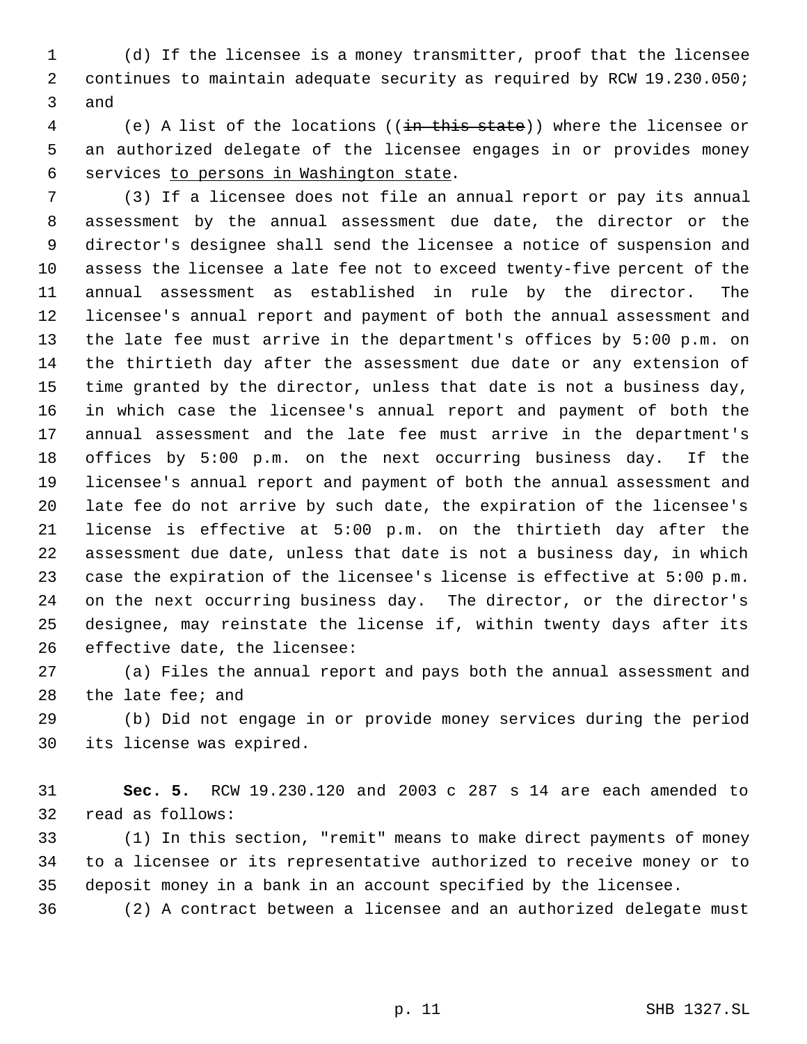(d) If the licensee is a money transmitter, proof that the licensee continues to maintain adequate security as required by RCW 19.230.050; and

 (e) A list of the locations ((in this state)) where the licensee or an authorized delegate of the licensee engages in or provides money services to persons in Washington state.

 (3) If a licensee does not file an annual report or pay its annual assessment by the annual assessment due date, the director or the director's designee shall send the licensee a notice of suspension and assess the licensee a late fee not to exceed twenty-five percent of the annual assessment as established in rule by the director. The licensee's annual report and payment of both the annual assessment and the late fee must arrive in the department's offices by 5:00 p.m. on the thirtieth day after the assessment due date or any extension of time granted by the director, unless that date is not a business day, in which case the licensee's annual report and payment of both the annual assessment and the late fee must arrive in the department's offices by 5:00 p.m. on the next occurring business day. If the licensee's annual report and payment of both the annual assessment and late fee do not arrive by such date, the expiration of the licensee's license is effective at 5:00 p.m. on the thirtieth day after the assessment due date, unless that date is not a business day, in which case the expiration of the licensee's license is effective at 5:00 p.m. on the next occurring business day. The director, or the director's designee, may reinstate the license if, within twenty days after its effective date, the licensee:

 (a) Files the annual report and pays both the annual assessment and the late fee; and

 (b) Did not engage in or provide money services during the period its license was expired.

 **Sec. 5.** RCW 19.230.120 and 2003 c 287 s 14 are each amended to read as follows:

 (1) In this section, "remit" means to make direct payments of money to a licensee or its representative authorized to receive money or to deposit money in a bank in an account specified by the licensee.

(2) A contract between a licensee and an authorized delegate must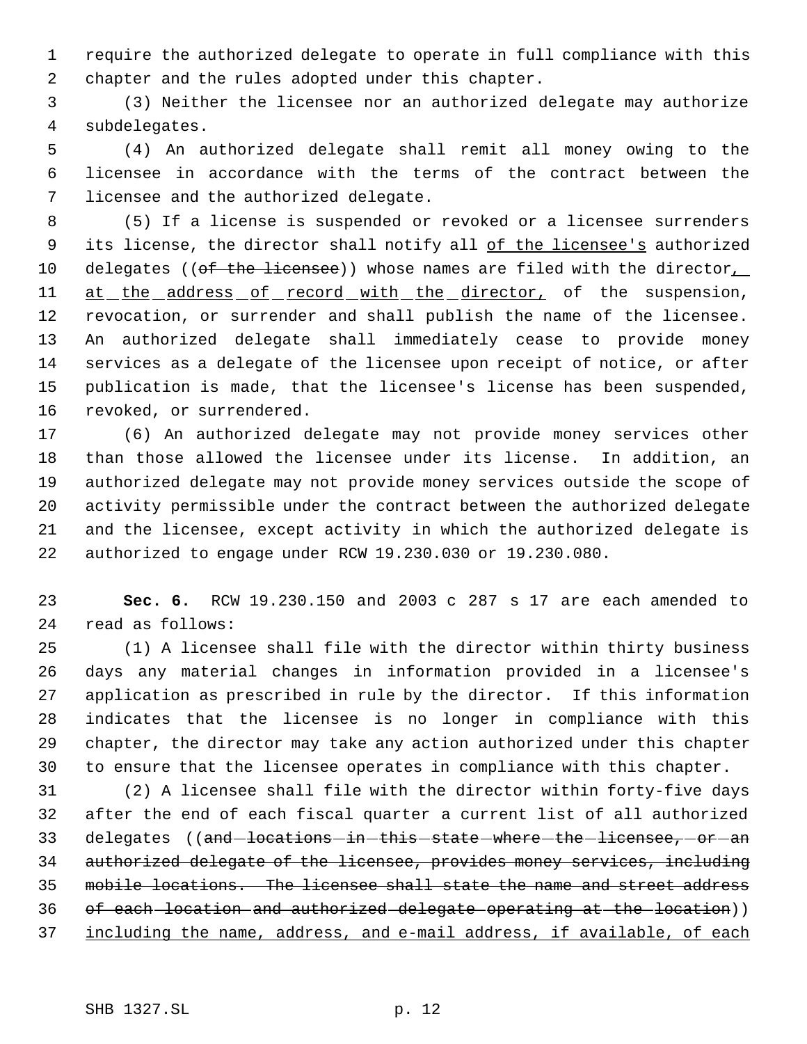require the authorized delegate to operate in full compliance with this chapter and the rules adopted under this chapter.

 (3) Neither the licensee nor an authorized delegate may authorize subdelegates.

 (4) An authorized delegate shall remit all money owing to the licensee in accordance with the terms of the contract between the licensee and the authorized delegate.

 (5) If a license is suspended or revoked or a licensee surrenders 9 its license, the director shall notify all of the licensee's authorized 10 delegates ((of the licensee)) whose names are filed with the director, 11 at the address of record with the director, of the suspension, revocation, or surrender and shall publish the name of the licensee. An authorized delegate shall immediately cease to provide money services as a delegate of the licensee upon receipt of notice, or after publication is made, that the licensee's license has been suspended, revoked, or surrendered.

 (6) An authorized delegate may not provide money services other than those allowed the licensee under its license. In addition, an authorized delegate may not provide money services outside the scope of activity permissible under the contract between the authorized delegate and the licensee, except activity in which the authorized delegate is authorized to engage under RCW 19.230.030 or 19.230.080.

 **Sec. 6.** RCW 19.230.150 and 2003 c 287 s 17 are each amended to read as follows:

 (1) A licensee shall file with the director within thirty business days any material changes in information provided in a licensee's application as prescribed in rule by the director. If this information indicates that the licensee is no longer in compliance with this chapter, the director may take any action authorized under this chapter to ensure that the licensee operates in compliance with this chapter.

 (2) A licensee shall file with the director within forty-five days after the end of each fiscal quarter a current list of all authorized 33 delegates ((and locations in this state where the licensee, or an authorized delegate of the licensee, provides money services, including mobile locations. The licensee shall state the name and street address 36 of each location and authorized delegate operating at the location)) including the name, address, and e-mail address, if available, of each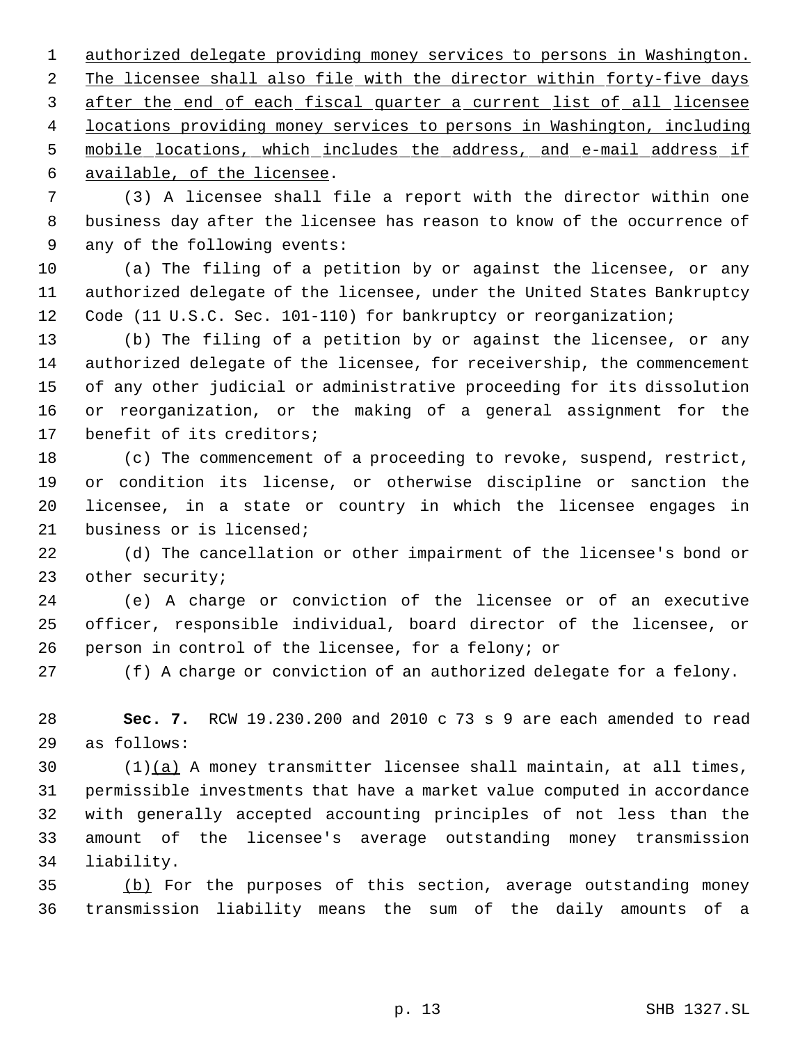authorized delegate providing money services to persons in Washington. 2 The licensee shall also file with the director within forty-five days 3 after the end of each fiscal quarter a current list of all licensee locations providing money services to persons in Washington, including mobile locations, which includes the address, and e-mail address if available, of the licensee.

 (3) A licensee shall file a report with the director within one business day after the licensee has reason to know of the occurrence of any of the following events:

 (a) The filing of a petition by or against the licensee, or any authorized delegate of the licensee, under the United States Bankruptcy Code (11 U.S.C. Sec. 101-110) for bankruptcy or reorganization;

 (b) The filing of a petition by or against the licensee, or any authorized delegate of the licensee, for receivership, the commencement of any other judicial or administrative proceeding for its dissolution or reorganization, or the making of a general assignment for the benefit of its creditors;

 (c) The commencement of a proceeding to revoke, suspend, restrict, or condition its license, or otherwise discipline or sanction the licensee, in a state or country in which the licensee engages in business or is licensed;

 (d) The cancellation or other impairment of the licensee's bond or other security;

 (e) A charge or conviction of the licensee or of an executive officer, responsible individual, board director of the licensee, or person in control of the licensee, for a felony; or

(f) A charge or conviction of an authorized delegate for a felony.

 **Sec. 7.** RCW 19.230.200 and 2010 c 73 s 9 are each amended to read as follows:

 $(1)(a)$  A money transmitter licensee shall maintain, at all times, permissible investments that have a market value computed in accordance with generally accepted accounting principles of not less than the amount of the licensee's average outstanding money transmission liability.

 (b) For the purposes of this section, average outstanding money transmission liability means the sum of the daily amounts of a